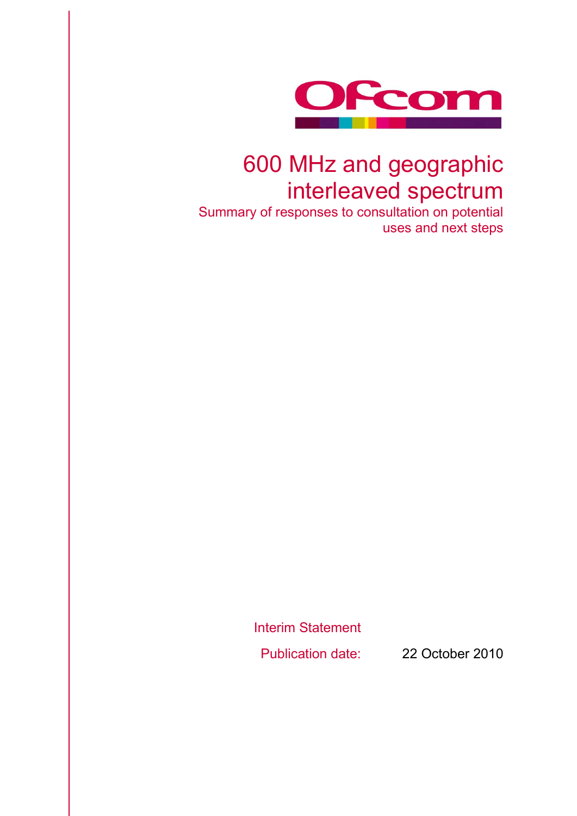

## 600 MHz and geographic interleaved spectrum

Summary of responses to consultation on potential uses and next steps

> Interim Statement Publication date: 22 October 2010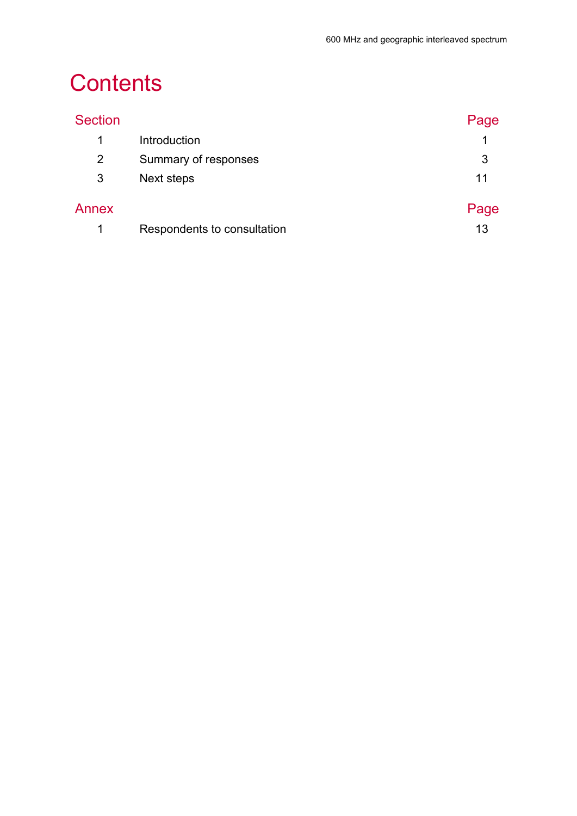# **Contents**

| <b>Section</b> |                             | Page |
|----------------|-----------------------------|------|
| $\mathbf 1$    | Introduction                | 1    |
| 2              | Summary of responses        | 3    |
| 3              | Next steps                  | 11   |
| Annex          |                             | Page |
|                | Respondents to consultation | 13   |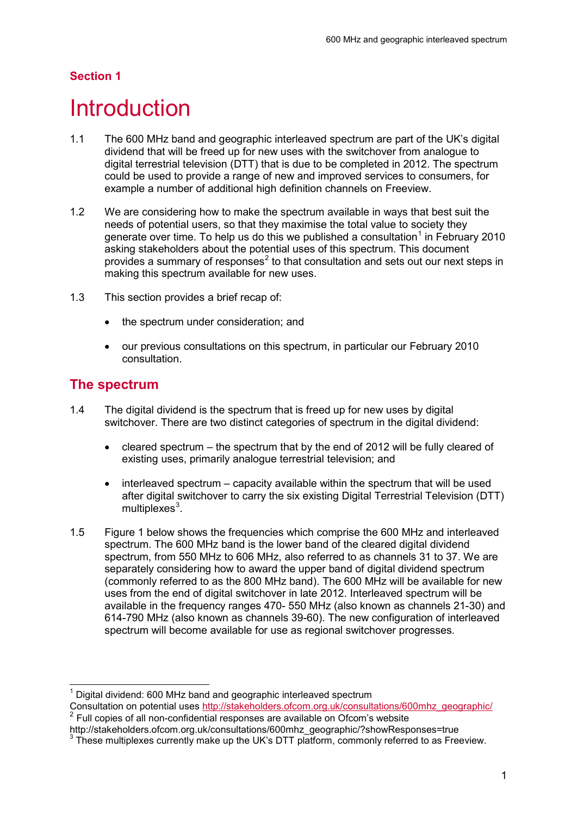### **Section 1**

## <span id="page-3-0"></span>**Introduction**

- 1.1 The 600 MHz band and geographic interleaved spectrum are part of the UK's digital dividend that will be freed up for new uses with the switchover from analogue to digital terrestrial television (DTT) that is due to be completed in 2012. The spectrum could be used to provide a range of new and improved services to consumers, for example a number of additional high definition channels on Freeview.
- 1.2 We are considering how to make the spectrum available in ways that best suit the needs of potential users, so that they maximise the total value to society they generate over time. To help us do this we published a consultation<sup>[1](#page-3-1)</sup> in February 2010 asking stakeholders about the potential uses of this spectrum. This document provides a summary of responses<sup>[2](#page-3-2)</sup> to that consultation and sets out our next steps in making this spectrum available for new uses.
- 1.3 This section provides a brief recap of:
	- the spectrum under consideration; and
	- our previous consultations on this spectrum, in particular our February 2010 consultation.

### **The spectrum**

- 1.4 The digital dividend is the spectrum that is freed up for new uses by digital switchover. There are two distinct categories of spectrum in the digital dividend:
	- cleared spectrum the spectrum that by the end of 2012 will be fully cleared of existing uses, primarily analogue terrestrial television; and
	- interleaved spectrum capacity available within the spectrum that will be used after digital switchover to carry the six existing Digital Terrestrial Television (DTT)  $multiplexes<sup>3</sup>$  $multiplexes<sup>3</sup>$  $multiplexes<sup>3</sup>$ .
- 1.5 Figure 1 below shows the frequencies which comprise the 600 MHz and interleaved spectrum. The 600 MHz band is the lower band of the cleared digital dividend spectrum, from 550 MHz to 606 MHz, also referred to as channels 31 to 37. We are separately considering how to award the upper band of digital dividend spectrum (commonly referred to as the 800 MHz band). The 600 MHz will be available for new uses from the end of digital switchover in late 2012. Interleaved spectrum will be available in the frequency ranges 470- 550 MHz (also known as channels 21-30) and 614-790 MHz (also known as channels 39-60). The new configuration of interleaved spectrum will become available for use as regional switchover progresses.

<span id="page-3-1"></span>Digital dividend: 600 MHz band and geographic interleaved spectrum

Consultation on potential uses [http://stakeholders.ofcom.org.uk/consultations/600mhz\\_geographic/](http://stakeholders.ofcom.org.uk/consultations/600mhz_geographic/) <sup>2</sup> Full copies of all non-confidential responses are available on Ofcom's website

<span id="page-3-3"></span><span id="page-3-2"></span>http://stakeholders.ofcom.org.uk/consultations/600mhz\_geographic/?showResponses=true<br><sup>3</sup> These multiplexes currently make up the UK's DTT platform, commonly referred to as Freeview.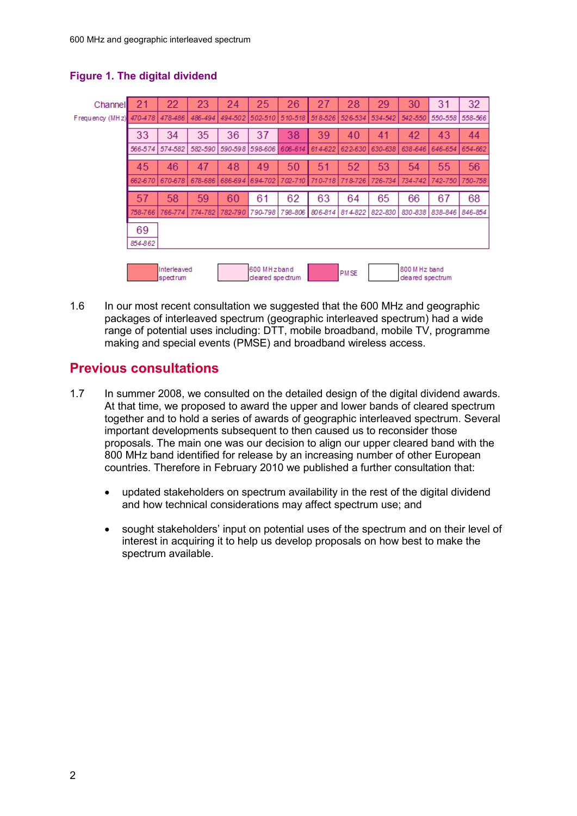| Channel         |         | 22                              | 23      | 24      | 25                             | 26      | $\overline{2}$ | 28          | 29                               | 30      | 31      | 32      |
|-----------------|---------|---------------------------------|---------|---------|--------------------------------|---------|----------------|-------------|----------------------------------|---------|---------|---------|
| Frequency (MHz) | 470-478 | 478-486                         | 486-494 | 494-502 | 502-510                        | 510-518 | 518-526        | $526 - 534$ | 534-542                          | 542-550 | 550-558 | 558-566 |
|                 | 33      | 34                              | 35      | 36      | 37                             | 38      | 39             | 40          | 41                               | 42      | 43      | 44      |
|                 | 566-574 | 574-582                         | 582-590 |         | 590-598 598-606                | 606-614 | 614-622        | 622-630     | 630-638                          | 638-646 | 646-654 | 654-662 |
|                 | 45      | 46                              | 47      | 48      | 49                             | 50      | 51             | 52          | 53                               | 54      | 55      | 56      |
|                 | 662-670 | 670-678                         | 678-686 | 686-694 | 694-702                        | 702-710 | 710-718        | 718-726     | 726-734                          | 734-742 | 742-750 | 750-758 |
|                 | 57      | 58                              | 59      | 60      | 61                             | 62      | 63             | 64          | 65                               | 66      | 67      | 68      |
|                 | 758-766 | 766-774                         | 774-782 | 782-790 | 790-798                        | 798-806 | $806 - 814$    | 814-822     | 822-830                          | 830-838 | 838-846 | 846-854 |
|                 | 69      |                                 |         |         |                                |         |                |             |                                  |         |         |         |
|                 | 854-862 |                                 |         |         |                                |         |                |             |                                  |         |         |         |
|                 |         |                                 |         |         |                                |         |                |             |                                  |         |         |         |
|                 |         | Interleaved<br><b>Ispectrum</b> |         |         | 600 MHzband<br>deared spectrum |         | <b>PMSE</b>    |             | 800 M Hz band<br>deared spectrum |         |         |         |

#### **Figure 1. The digital dividend**

1.6 In our most recent consultation we suggested that the 600 MHz and geographic packages of interleaved spectrum (geographic interleaved spectrum) had a wide range of potential uses including: DTT, mobile broadband, mobile TV, programme making and special events (PMSE) and broadband wireless access.

### **Previous consultations**

- 1.7 In summer 2008, we consulted on the detailed design of the digital dividend awards. At that time, we proposed to award the upper and lower bands of cleared spectrum together and to hold a series of awards of geographic interleaved spectrum. Several important developments subsequent to then caused us to reconsider those proposals. The main one was our decision to align our upper cleared band with the 800 MHz band identified for release by an increasing number of other European countries. Therefore in February 2010 we published a further consultation that:
	- updated stakeholders on spectrum availability in the rest of the digital dividend and how technical considerations may affect spectrum use; and
	- sought stakeholders' input on potential uses of the spectrum and on their level of interest in acquiring it to help us develop proposals on how best to make the spectrum available.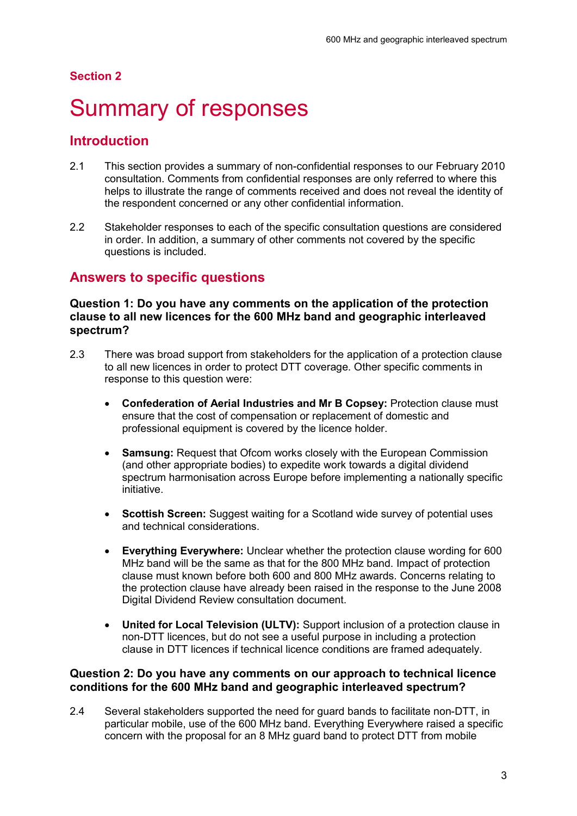#### **Section 2**

## <span id="page-5-0"></span>Summary of responses

### **Introduction**

- 2.1 This section provides a summary of non-confidential responses to our February 2010 consultation. Comments from confidential responses are only referred to where this helps to illustrate the range of comments received and does not reveal the identity of the respondent concerned or any other confidential information.
- 2.2 Stakeholder responses to each of the specific consultation questions are considered in order. In addition, a summary of other comments not covered by the specific questions is included.

### **Answers to specific questions**

#### **Question 1: Do you have any comments on the application of the protection clause to all new licences for the 600 MHz band and geographic interleaved spectrum?**

- 2.3 There was broad support from stakeholders for the application of a protection clause to all new licences in order to protect DTT coverage. Other specific comments in response to this question were:
	- x **Confederation of Aerial Industries and Mr B Copsey:** Protection clause must ensure that the cost of compensation or replacement of domestic and professional equipment is covered by the licence holder.
	- **Samsung:** Request that Ofcom works closely with the European Commission (and other appropriate bodies) to expedite work towards a digital dividend spectrum harmonisation across Europe before implementing a nationally specific initiative.
	- **Scottish Screen:** Suggest waiting for a Scotland wide survey of potential uses and technical considerations.
	- x **Everything Everywhere:** Unclear whether the protection clause wording for 600 MHz band will be the same as that for the 800 MHz band. Impact of protection clause must known before both 600 and 800 MHz awards. Concerns relating to the protection clause have already been raised in the response to the June 2008 Digital Dividend Review consultation document.
	- **United for Local Television (ULTV):** Support inclusion of a protection clause in non-DTT licences, but do not see a useful purpose in including a protection clause in DTT licences if technical licence conditions are framed adequately.

#### **Question 2: Do you have any comments on our approach to technical licence conditions for the 600 MHz band and geographic interleaved spectrum?**

2.4 Several stakeholders supported the need for guard bands to facilitate non-DTT, in particular mobile, use of the 600 MHz band. Everything Everywhere raised a specific concern with the proposal for an 8 MHz guard band to protect DTT from mobile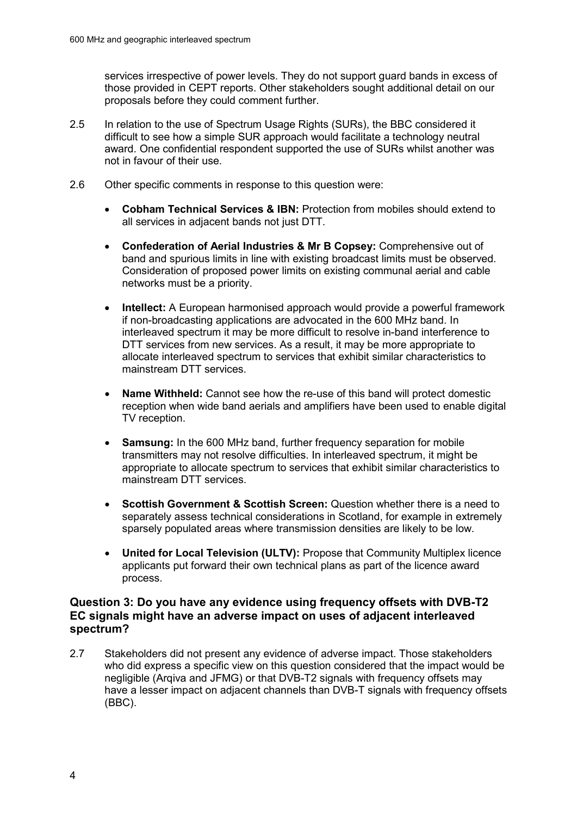services irrespective of power levels. They do not support guard bands in excess of those provided in CEPT reports. Other stakeholders sought additional detail on our proposals before they could comment further.

- 2.5 In relation to the use of Spectrum Usage Rights (SURs), the BBC considered it difficult to see how a simple SUR approach would facilitate a technology neutral award. One confidential respondent supported the use of SURs whilst another was not in favour of their use.
- 2.6 Other specific comments in response to this question were:
	- **Cobham Technical Services & IBN: Protection from mobiles should extend to** all services in adjacent bands not just DTT.
	- x **Confederation of Aerial Industries & Mr B Copsey:** Comprehensive out of band and spurious limits in line with existing broadcast limits must be observed. Consideration of proposed power limits on existing communal aerial and cable networks must be a priority.
	- x **Intellect:** A European harmonised approach would provide a powerful framework if non-broadcasting applications are advocated in the 600 MHz band. In interleaved spectrum it may be more difficult to resolve in-band interference to DTT services from new services. As a result, it may be more appropriate to allocate interleaved spectrum to services that exhibit similar characteristics to mainstream DTT services.
	- **Name Withheld:** Cannot see how the re-use of this band will protect domestic reception when wide band aerials and amplifiers have been used to enable digital TV reception.
	- **Samsung:** In the 600 MHz band, further frequency separation for mobile transmitters may not resolve difficulties. In interleaved spectrum, it might be appropriate to allocate spectrum to services that exhibit similar characteristics to mainstream DTT services.
	- **Scottish Government & Scottish Screen:** Question whether there is a need to separately assess technical considerations in Scotland, for example in extremely sparsely populated areas where transmission densities are likely to be low.
	- **United for Local Television (ULTV): Propose that Community Multiplex licence** applicants put forward their own technical plans as part of the licence award process.

#### **Question 3: Do you have any evidence using frequency offsets with DVB-T2 EC signals might have an adverse impact on uses of adjacent interleaved spectrum?**

2.7 Stakeholders did not present any evidence of adverse impact. Those stakeholders who did express a specific view on this question considered that the impact would be negligible (Arqiva and JFMG) or that DVB-T2 signals with frequency offsets may have a lesser impact on adjacent channels than DVB-T signals with frequency offsets (BBC).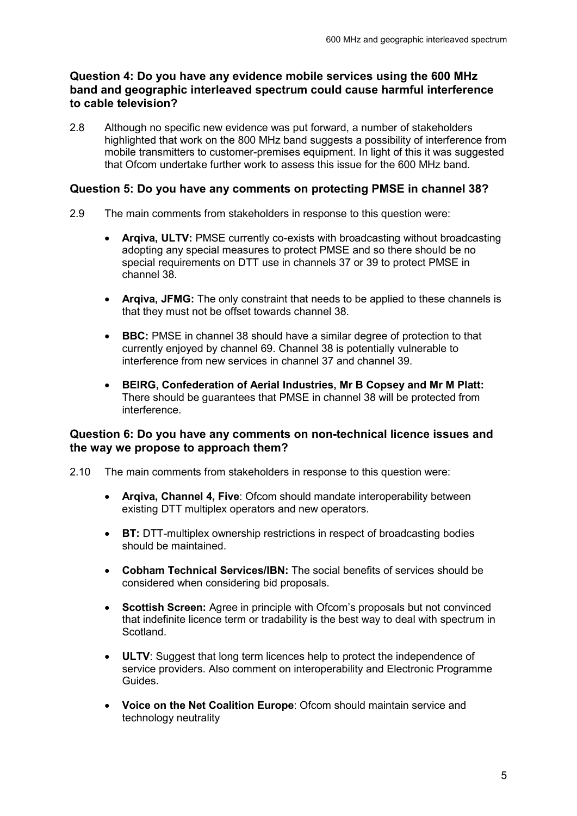#### **Question 4: Do you have any evidence mobile services using the 600 MHz band and geographic interleaved spectrum could cause harmful interference to cable television?**

2.8 Although no specific new evidence was put forward, a number of stakeholders highlighted that work on the 800 MHz band suggests a possibility of interference from mobile transmitters to customer-premises equipment. In light of this it was suggested that Ofcom undertake further work to assess this issue for the 600 MHz band.

#### **Question 5: Do you have any comments on protecting PMSE in channel 38?**

- 2.9 The main comments from stakeholders in response to this question were:
	- Arqiva, ULTV: PMSE currently co-exists with broadcasting without broadcasting adopting any special measures to protect PMSE and so there should be no special requirements on DTT use in channels 37 or 39 to protect PMSE in channel 38.
	- **Argiva, JFMG:** The only constraint that needs to be applied to these channels is that they must not be offset towards channel 38.
	- **BBC:** PMSE in channel 38 should have a similar degree of protection to that currently enjoyed by channel 69. Channel 38 is potentially vulnerable to interference from new services in channel 37 and channel 39.
	- x **BEIRG, Confederation of Aerial Industries, Mr B Copsey and Mr M Platt:** There should be guarantees that PMSE in channel 38 will be protected from interference.

#### **Question 6: Do you have any comments on non-technical licence issues and the way we propose to approach them?**

- 2.10 The main comments from stakeholders in response to this question were:
	- Argiva, Channel 4, Five: Ofcom should mandate interoperability between existing DTT multiplex operators and new operators.
	- **BT:** DTT-multiplex ownership restrictions in respect of broadcasting bodies should be maintained.
	- **Cobham Technical Services/IBN:** The social benefits of services should be considered when considering bid proposals.
	- **Scottish Screen:** Agree in principle with Ofcom's proposals but not convinced that indefinite licence term or tradability is the best way to deal with spectrum in Scotland.
	- **ULTV:** Suggest that long term licences help to protect the independence of service providers. Also comment on interoperability and Electronic Programme Guides.
	- **Voice on the Net Coalition Europe**: Ofcom should maintain service and technology neutrality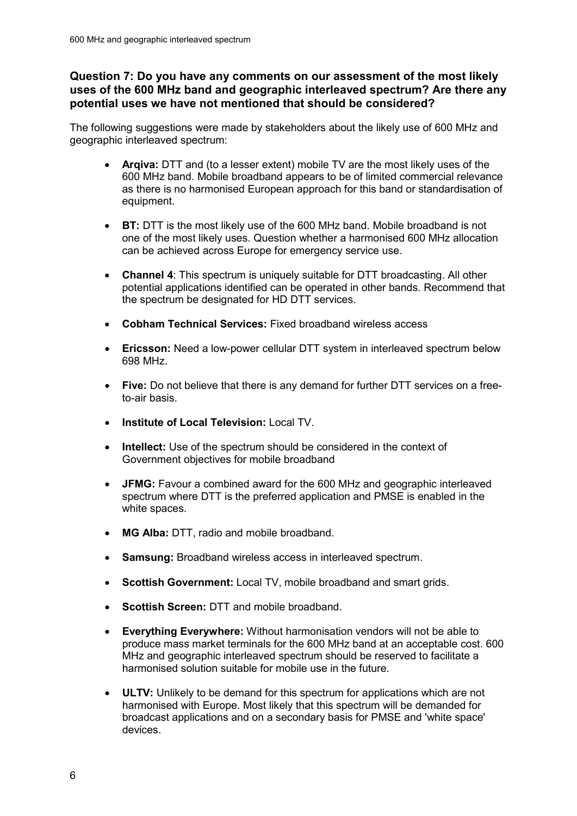#### **Question 7: Do you have any comments on our assessment of the most likely uses of the 600 MHz band and geographic interleaved spectrum? Are there any potential uses we have not mentioned that should be considered?**

The following suggestions were made by stakeholders about the likely use of 600 MHz and geographic interleaved spectrum:

- Argiva: DTT and (to a lesser extent) mobile TV are the most likely uses of the 600 MHz band. Mobile broadband appears to be of limited commercial relevance as there is no harmonised European approach for this band or standardisation of equipment.
- **BT:** DTT is the most likely use of the 600 MHz band. Mobile broadband is not one of the most likely uses. Question whether a harmonised 600 MHz allocation can be achieved across Europe for emergency service use.
- **Channel 4:** This spectrum is uniquely suitable for DTT broadcasting. All other potential applications identified can be operated in other bands. Recommend that the spectrum be designated for HD DTT services.
- x **Cobham Technical Services:** Fixed broadband wireless access
- **Ericsson:** Need a low-power cellular DTT system in interleaved spectrum below 698 MHz.
- **Five:** Do not believe that there is any demand for further DTT services on a freeto-air basis.
- x **Institute of Local Television:** Local TV.
- **Intellect:** Use of the spectrum should be considered in the context of Government objectives for mobile broadband
- **JFMG:** Favour a combined award for the 600 MHz and geographic interleaved spectrum where DTT is the preferred application and PMSE is enabled in the white spaces.
- x **MG Alba:** DTT, radio and mobile broadband.
- **Samsung:** Broadband wireless access in interleaved spectrum.
- **Scottish Government:** Local TV, mobile broadband and smart grids.
- **Scottish Screen: DTT and mobile broadband.**
- **Everything Everywhere:** Without harmonisation vendors will not be able to produce mass market terminals for the 600 MHz band at an acceptable cost. 600 MHz and geographic interleaved spectrum should be reserved to facilitate a harmonised solution suitable for mobile use in the future.
- **ULTV:** Unlikely to be demand for this spectrum for applications which are not harmonised with Europe. Most likely that this spectrum will be demanded for broadcast applications and on a secondary basis for PMSE and 'white space' devices.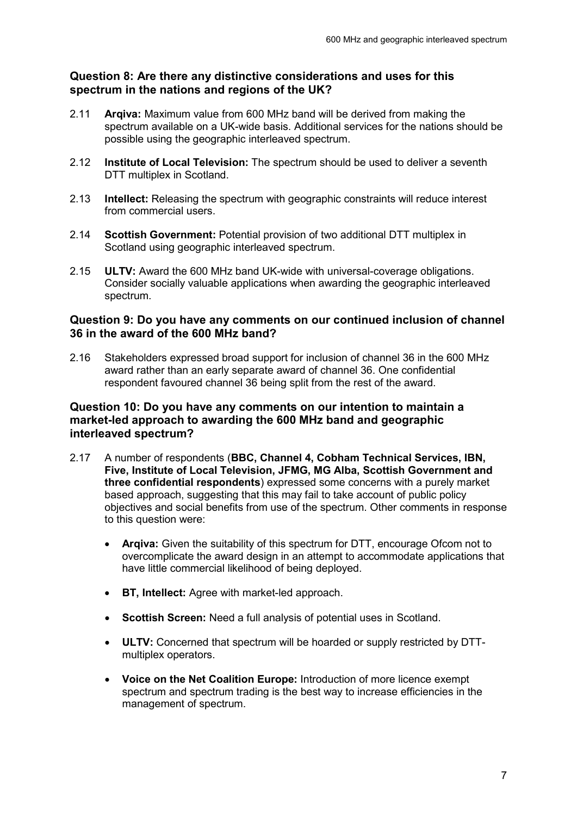#### **Question 8: Are there any distinctive considerations and uses for this spectrum in the nations and regions of the UK?**

- 2.11 **Arqiva:** Maximum value from 600 MHz band will be derived from making the spectrum available on a UK-wide basis. Additional services for the nations should be possible using the geographic interleaved spectrum.
- 2.12 **Institute of Local Television:** The spectrum should be used to deliver a seventh DTT multiplex in Scotland.
- 2.13 **Intellect:** Releasing the spectrum with geographic constraints will reduce interest from commercial users.
- 2.14 **Scottish Government:** Potential provision of two additional DTT multiplex in Scotland using geographic interleaved spectrum.
- 2.15 **ULTV:** Award the 600 MHz band UK-wide with universal-coverage obligations. Consider socially valuable applications when awarding the geographic interleaved spectrum.

#### **Question 9: Do you have any comments on our continued inclusion of channel 36 in the award of the 600 MHz band?**

2.16 Stakeholders expressed broad support for inclusion of channel 36 in the 600 MHz award rather than an early separate award of channel 36. One confidential respondent favoured channel 36 being split from the rest of the award.

#### **Question 10: Do you have any comments on our intention to maintain a market-led approach to awarding the 600 MHz band and geographic interleaved spectrum?**

- 2.17 A number of respondents (**BBC, Channel 4, Cobham Technical Services, IBN, Five, Institute of Local Television, JFMG, MG Alba, Scottish Government and three confidential respondents**) expressed some concerns with a purely market based approach, suggesting that this may fail to take account of public policy objectives and social benefits from use of the spectrum. Other comments in response to this question were:
	- Argiva: Given the suitability of this spectrum for DTT, encourage Ofcom not to overcomplicate the award design in an attempt to accommodate applications that have little commercial likelihood of being deployed.
	- **BT, Intellect:** Agree with market-led approach.
	- **Scottish Screen:** Need a full analysis of potential uses in Scotland.
	- **ULTV:** Concerned that spectrum will be hoarded or supply restricted by DTTmultiplex operators.
	- x **Voice on the Net Coalition Europe:** Introduction of more licence exempt spectrum and spectrum trading is the best way to increase efficiencies in the management of spectrum.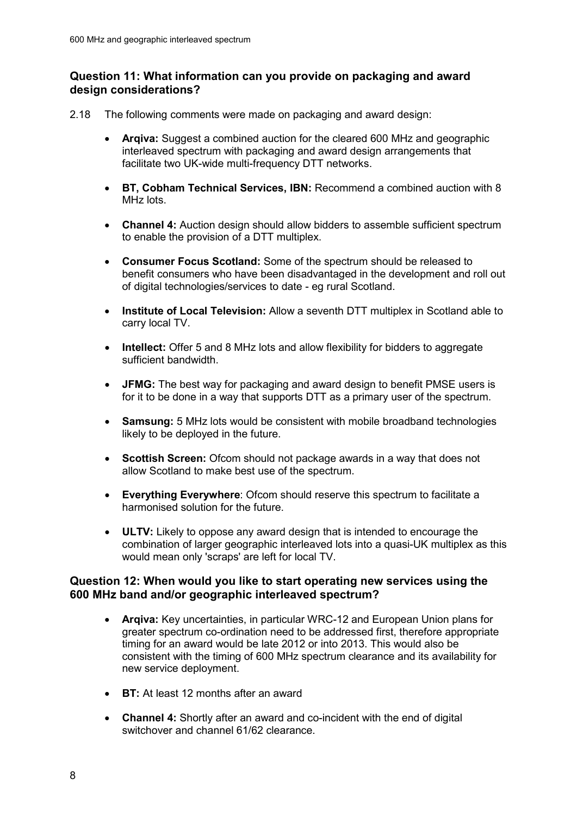#### **Question 11: What information can you provide on packaging and award design considerations?**

- 2.18 The following comments were made on packaging and award design:
	- Argiva: Suggest a combined auction for the cleared 600 MHz and geographic interleaved spectrum with packaging and award design arrangements that facilitate two UK-wide multi-frequency DTT networks.
	- x **BT, Cobham Technical Services, IBN:** Recommend a combined auction with 8 MHz lots.
	- **Channel 4:** Auction design should allow bidders to assemble sufficient spectrum to enable the provision of a DTT multiplex.
	- x **Consumer Focus Scotland:** Some of the spectrum should be released to benefit consumers who have been disadvantaged in the development and roll out of digital technologies/services to date - eg rural Scotland.
	- x **Institute of Local Television:** Allow a seventh DTT multiplex in Scotland able to carry local TV.
	- **Intellect:** Offer 5 and 8 MHz lots and allow flexibility for bidders to aggregate sufficient bandwidth.
	- **JFMG:** The best way for packaging and award design to benefit PMSE users is for it to be done in a way that supports DTT as a primary user of the spectrum.
	- **Samsung:** 5 MHz lots would be consistent with mobile broadband technologies likely to be deployed in the future.
	- **Scottish Screen:** Ofcom should not package awards in a way that does not allow Scotland to make best use of the spectrum.
	- **Everything Everywhere**: Ofcom should reserve this spectrum to facilitate a harmonised solution for the future.
	- **ULTV:** Likely to oppose any award design that is intended to encourage the combination of larger geographic interleaved lots into a quasi-UK multiplex as this would mean only 'scraps' are left for local TV.

#### **Question 12: When would you like to start operating new services using the 600 MHz band and/or geographic interleaved spectrum?**

- x **Arqiva:** Key uncertainties, in particular WRC-12 and European Union plans for greater spectrum co-ordination need to be addressed first, therefore appropriate timing for an award would be late 2012 or into 2013. This would also be consistent with the timing of 600 MHz spectrum clearance and its availability for new service deployment.
- **BT:** At least 12 months after an award
- **Channel 4:** Shortly after an award and co-incident with the end of digital switchover and channel 61/62 clearance.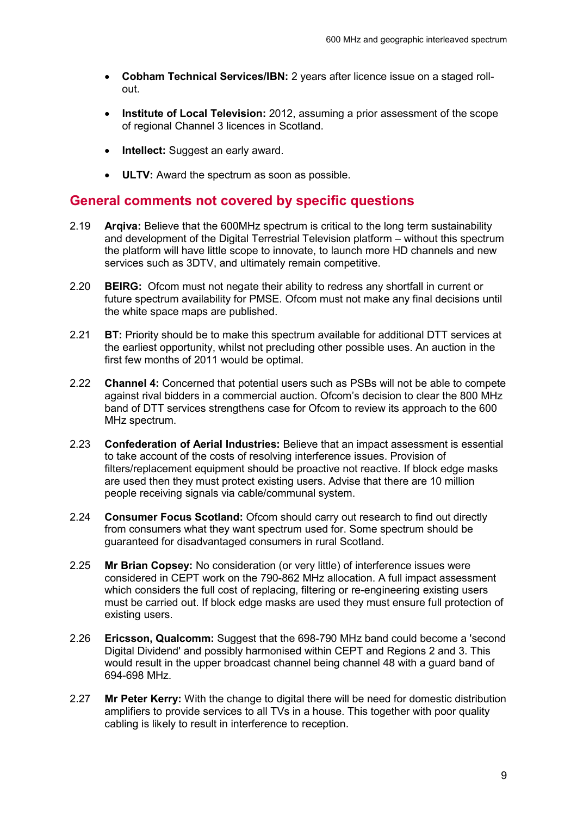- x **Cobham Technical Services/IBN:** 2 years after licence issue on a staged rollout.
- **Institute of Local Television:** 2012, assuming a prior assessment of the scope of regional Channel 3 licences in Scotland.
- **Intellect:** Suggest an early award.
- **ULTV:** Award the spectrum as soon as possible.

#### **General comments not covered by specific questions**

- 2.19 **Arqiva:** Believe that the 600MHz spectrum is critical to the long term sustainability and development of the Digital Terrestrial Television platform – without this spectrum the platform will have little scope to innovate, to launch more HD channels and new services such as 3DTV, and ultimately remain competitive.
- 2.20 **BEIRG:** Ofcom must not negate their ability to redress any shortfall in current or future spectrum availability for PMSE. Ofcom must not make any final decisions until the white space maps are published.
- 2.21 **BT:** Priority should be to make this spectrum available for additional DTT services at the earliest opportunity, whilst not precluding other possible uses. An auction in the first few months of 2011 would be optimal.
- 2.22 **Channel 4:** Concerned that potential users such as PSBs will not be able to compete against rival bidders in a commercial auction. Ofcom's decision to clear the 800 MHz band of DTT services strengthens case for Ofcom to review its approach to the 600 MHz spectrum.
- 2.23 **Confederation of Aerial Industries:** Believe that an impact assessment is essential to take account of the costs of resolving interference issues. Provision of filters/replacement equipment should be proactive not reactive. If block edge masks are used then they must protect existing users. Advise that there are 10 million people receiving signals via cable/communal system.
- 2.24 **Consumer Focus Scotland:** Ofcom should carry out research to find out directly from consumers what they want spectrum used for. Some spectrum should be guaranteed for disadvantaged consumers in rural Scotland.
- 2.25 **Mr Brian Copsey:** No consideration (or very little) of interference issues were considered in CEPT work on the 790-862 MHz allocation. A full impact assessment which considers the full cost of replacing, filtering or re-engineering existing users must be carried out. If block edge masks are used they must ensure full protection of existing users.
- 2.26 **Ericsson, Qualcomm:** Suggest that the 698-790 MHz band could become a 'second Digital Dividend' and possibly harmonised within CEPT and Regions 2 and 3. This would result in the upper broadcast channel being channel 48 with a guard band of 694-698 MHz.
- 2.27 **Mr Peter Kerry:** With the change to digital there will be need for domestic distribution amplifiers to provide services to all TVs in a house. This together with poor quality cabling is likely to result in interference to reception.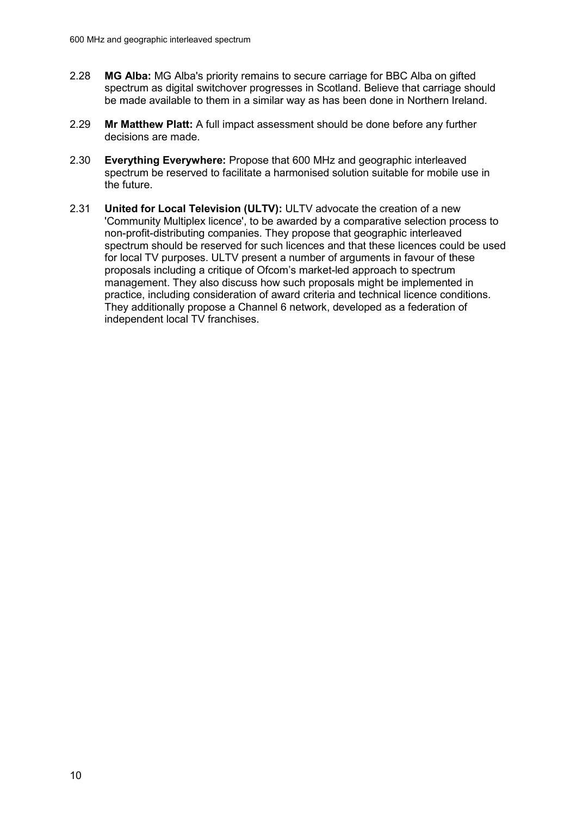- 2.28 **MG Alba:** MG Alba's priority remains to secure carriage for BBC Alba on gifted spectrum as digital switchover progresses in Scotland. Believe that carriage should be made available to them in a similar way as has been done in Northern Ireland.
- 2.29 **Mr Matthew Platt:** A full impact assessment should be done before any further decisions are made.
- 2.30 **Everything Everywhere:** Propose that 600 MHz and geographic interleaved spectrum be reserved to facilitate a harmonised solution suitable for mobile use in the future.
- 2.31 **United for Local Television (ULTV):** ULTV advocate the creation of a new 'Community Multiplex licence', to be awarded by a comparative selection process to non-profit-distributing companies. They propose that geographic interleaved spectrum should be reserved for such licences and that these licences could be used for local TV purposes. ULTV present a number of arguments in favour of these proposals including a critique of Ofcom's market-led approach to spectrum management. They also discuss how such proposals might be implemented in practice, including consideration of award criteria and technical licence conditions. They additionally propose a Channel 6 network, developed as a federation of independent local TV franchises.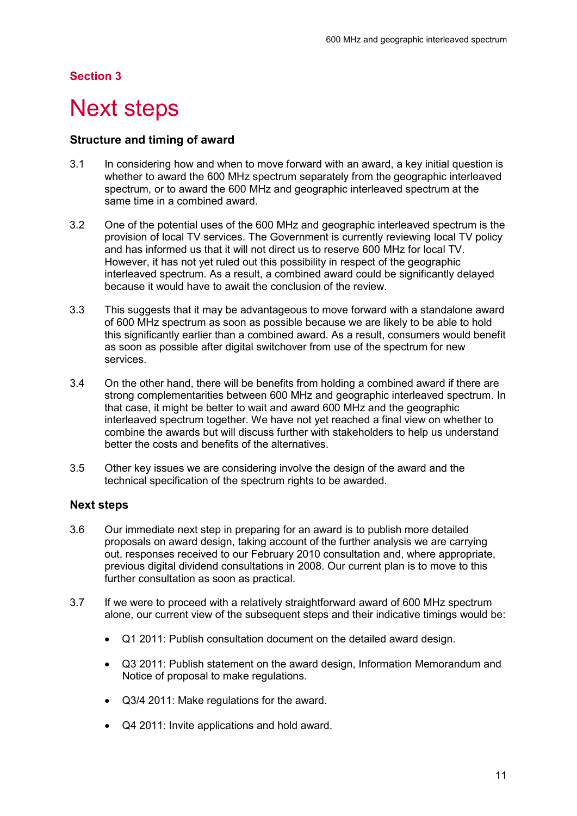#### **Section 3**

## <span id="page-13-0"></span>**Next steps**

#### **Structure and timing of award**

- 3.1 In considering how and when to move forward with an award, a key initial question is whether to award the 600 MHz spectrum separately from the geographic interleaved spectrum, or to award the 600 MHz and geographic interleaved spectrum at the same time in a combined award.
- 3.2 One of the potential uses of the 600 MHz and geographic interleaved spectrum is the provision of local TV services. The Government is currently reviewing local TV policy and has informed us that it will not direct us to reserve 600 MHz for local TV. However, it has not yet ruled out this possibility in respect of the geographic interleaved spectrum. As a result, a combined award could be significantly delayed because it would have to await the conclusion of the review.
- 3.3 This suggests that it may be advantageous to move forward with a standalone award of 600 MHz spectrum as soon as possible because we are likely to be able to hold this significantly earlier than a combined award. As a result, consumers would benefit as soon as possible after digital switchover from use of the spectrum for new services.
- 3.4 On the other hand, there will be benefits from holding a combined award if there are strong complementarities between 600 MHz and geographic interleaved spectrum. In that case, it might be better to wait and award 600 MHz and the geographic interleaved spectrum together. We have not yet reached a final view on whether to combine the awards but will discuss further with stakeholders to help us understand better the costs and benefits of the alternatives.
- 3.5 Other key issues we are considering involve the design of the award and the technical specification of the spectrum rights to be awarded.

#### **Next steps**

- 3.6 Our immediate next step in preparing for an award is to publish more detailed proposals on award design, taking account of the further analysis we are carrying out, responses received to our February 2010 consultation and, where appropriate, previous digital dividend consultations in 2008. Our current plan is to move to this further consultation as soon as practical.
- 3.7 If we were to proceed with a relatively straightforward award of 600 MHz spectrum alone, our current view of the subsequent steps and their indicative timings would be:
	- Q1 2011: Publish consultation document on the detailed award design.
	- x Q3 2011: Publish statement on the award design, Information Memorandum and Notice of proposal to make regulations.
	- Q3/4 2011: Make regulations for the award.
	- Q4 2011: Invite applications and hold award.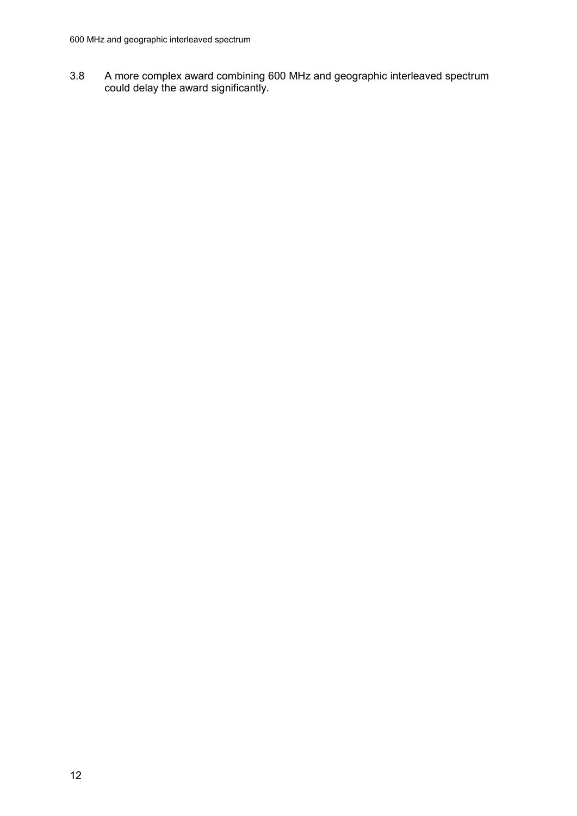3.8 A more complex award combining 600 MHz and geographic interleaved spectrum could delay the award significantly.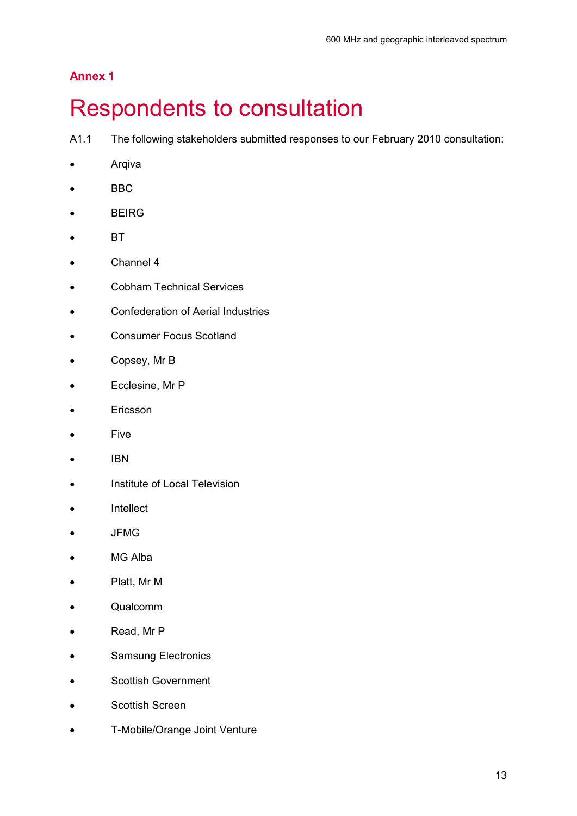## **Annex 1**

## <span id="page-15-0"></span>**Respondents to consultation**

A1.1 The following stakeholders submitted responses to our February 2010 consultation:

- Arqiva
- BBC
- **BEIRG**
- $\bullet$  BT
- $\bullet$  Channel 4
- **•** Cobham Technical Services
- **•** Confederation of Aerial Industries
- **•** Consumer Focus Scotland
- Copsey, Mr B
- Ecclesine, Mr P
- Ericsson
- $\bullet$  Five
- $\bullet$  IBN
- **•** Institute of Local Television
- Intellect
- $\bullet$  JFMG
- MG Alba
- Platt, Mr M
- Qualcomm
- Read, Mr P
- Samsung Electronics
- **•** Scottish Government
- **•** Scottish Screen
- **•** T-Mobile/Orange Joint Venture